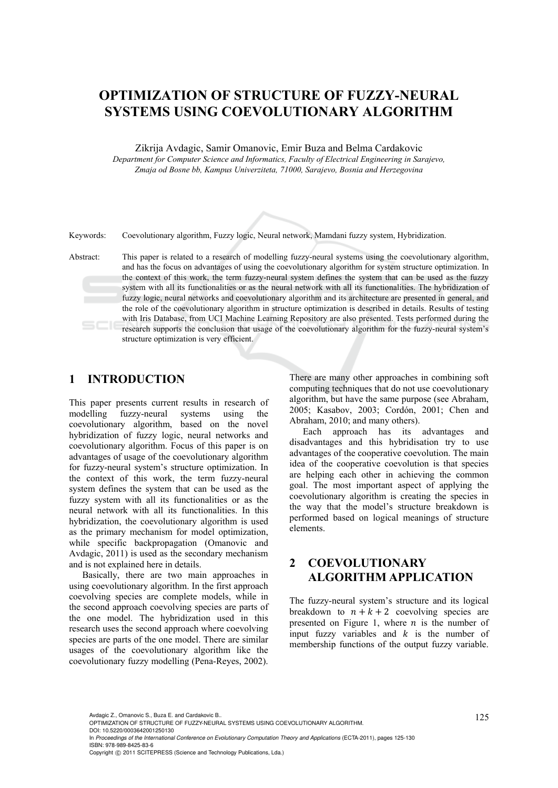# **OPTIMIZATION OF STRUCTURE OF FUZZY-NEURAL SYSTEMS USING COEVOLUTIONARY ALGORITHM**

Zikrija Avdagic, Samir Omanovic, Emir Buza and Belma Cardakovic

*Department for Computer Science and Informatics, Faculty of Electrical Engineering in Sarajevo, Zmaja od Bosne bb, Kampus Univerziteta, 71000, Sarajevo, Bosnia and Herzegovina* 

Keywords: Coevolutionary algorithm, Fuzzy logic, Neural network, Mamdani fuzzy system, Hybridization.

Abstract: This paper is related to a research of modelling fuzzy-neural systems using the coevolutionary algorithm, and has the focus on advantages of using the coevolutionary algorithm for system structure optimization. In the context of this work, the term fuzzy-neural system defines the system that can be used as the fuzzy system with all its functionalities or as the neural network with all its functionalities. The hybridization of fuzzy logic, neural networks and coevolutionary algorithm and its architecture are presented in general, and the role of the coevolutionary algorithm in structure optimization is described in details. Results of testing with Iris Database, from UCI Machine Learning Repository are also presented. Tests performed during the research supports the conclusion that usage of the coevolutionary algorithm for the fuzzy-neural system's structure optimization is very efficient.

## **1 INTRODUCTION**

This paper presents current results in research of modelling fuzzy-neural systems using the coevolutionary algorithm, based on the novel hybridization of fuzzy logic, neural networks and coevolutionary algorithm. Focus of this paper is on advantages of usage of the coevolutionary algorithm for fuzzy-neural system's structure optimization. In the context of this work, the term fuzzy-neural system defines the system that can be used as the fuzzy system with all its functionalities or as the neural network with all its functionalities. In this hybridization, the coevolutionary algorithm is used as the primary mechanism for model optimization, while specific backpropagation (Omanovic and Avdagic, 2011) is used as the secondary mechanism and is not explained here in details.

Basically, there are two main approaches in using coevolutionary algorithm. In the first approach coevolving species are complete models, while in the second approach coevolving species are parts of the one model. The hybridization used in this research uses the second approach where coevolving species are parts of the one model. There are similar usages of the coevolutionary algorithm like the coevolutionary fuzzy modelling (Pena-Reyes, 2002).

There are many other approaches in combining soft computing techniques that do not use coevolutionary algorithm, but have the same purpose (see Abraham, 2005; Kasabov, 2003; Cordón, 2001; Chen and Abraham, 2010; and many others).

Each approach has its advantages and disadvantages and this hybridisation try to use advantages of the cooperative coevolution. The main idea of the cooperative coevolution is that species are helping each other in achieving the common goal. The most important aspect of applying the coevolutionary algorithm is creating the species in the way that the model's structure breakdown is performed based on logical meanings of structure elements.

# **2 COEVOLUTIONARY ALGORITHM APPLICATION**

The fuzzy-neural system's structure and its logical breakdown to  $n+k+2$  coevolving species are presented on Figure 1, where  $n$  is the number of input fuzzy variables and  $k$  is the number of membership functions of the output fuzzy variable.

In *Proceedings of the International Conference on Evolutionary Computation Theory and Applications* (ECTA-2011), pages 125-130 ISBN: 978-989-8425-83-6

Avdagic Z., Omanovic S., Buza E. and Cardakovic B..<br>OPTIMIZATION OF STRUCTURE OF FUZZY-NEURAL SYSTEMS USING COEVOLUTIONARY ALGORITHM. DOI: 10.5220/0003642001250130

Copyright © 2011 SCITEPRESS (Science and Technology Publications, Lda.)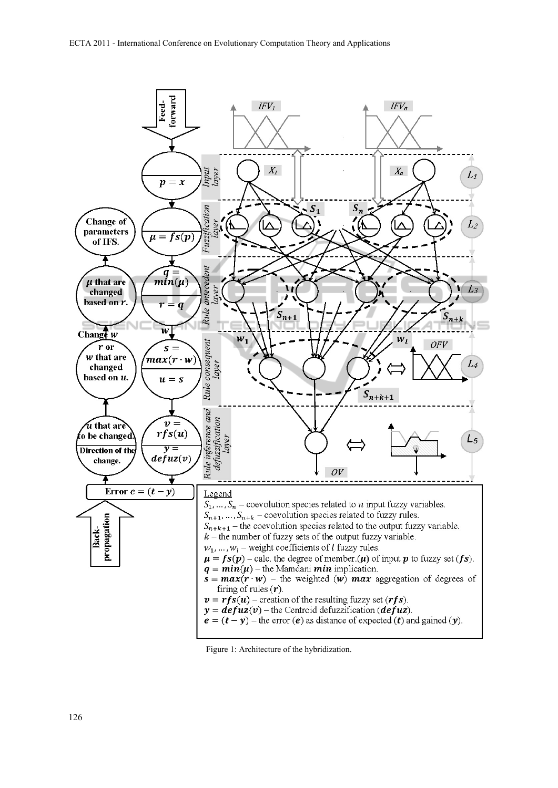

Figure 1: Architecture of the hybridization.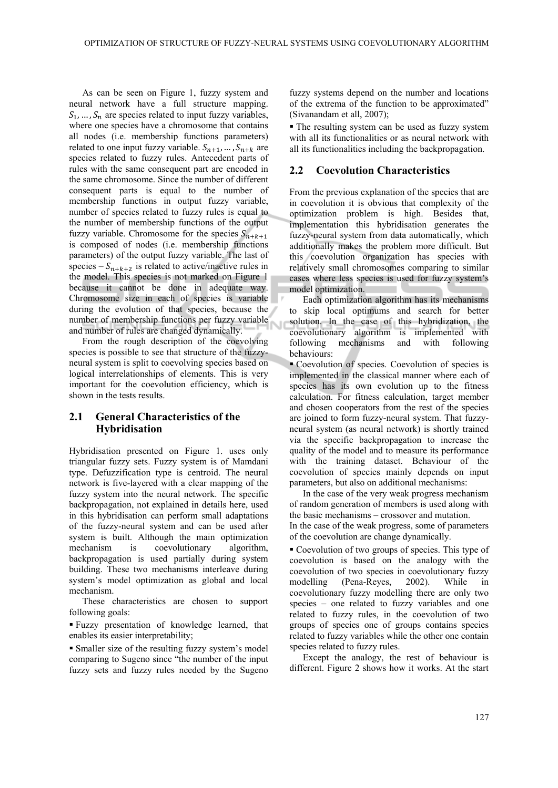As can be seen on Figure 1, fuzzy system and neural network have a full structure mapping.  $S_1, \ldots, S_n$  are species related to input fuzzy variables, where one species have a chromosome that contains all nodes (i.e. membership functions parameters) related to one input fuzzy variable.  $S_{n+1}, \ldots, S_{n+k}$  are species related to fuzzy rules. Antecedent parts of rules with the same consequent part are encoded in the same chromosome. Since the number of different consequent parts is equal to the number of membership functions in output fuzzy variable, number of species related to fuzzy rules is equal to the number of membership functions of the output fuzzy variable. Chromosome for the species  $S_{n+k+1}$ is composed of nodes (i.e. membership functions parameters) of the output fuzzy variable. The last of species –  $S_{n+k+2}$  is related to active/inactive rules in the model. This species is not marked on Figure 1 because it cannot be done in adequate way. Chromosome size in each of species is variable during the evolution of that species, because the number of membership functions per fuzzy variable and number of rules are changed dynamically.

From the rough description of the coevolving species is possible to see that structure of the fuzzyneural system is split to coevolving species based on logical interrelationships of elements. This is very important for the coevolution efficiency, which is shown in the tests results.

## **2.1 General Characteristics of the Hybridisation**

Hybridisation presented on Figure 1. uses only triangular fuzzy sets. Fuzzy system is of Mamdani type. Defuzzification type is centroid. The neural network is five-layered with a clear mapping of the fuzzy system into the neural network. The specific backpropagation, not explained in details here, used in this hybridisation can perform small adaptations of the fuzzy-neural system and can be used after system is built. Although the main optimization mechanism is coevolutionary algorithm, backpropagation is used partially during system building. These two mechanisms interleave during system's model optimization as global and local mechanism.

These characteristics are chosen to support following goals:

 Fuzzy presentation of knowledge learned, that enables its easier interpretability;

 Smaller size of the resulting fuzzy system's model comparing to Sugeno since "the number of the input fuzzy sets and fuzzy rules needed by the Sugeno

fuzzy systems depend on the number and locations of the extrema of the function to be approximated" (Sivanandam et all, 2007);

 The resulting system can be used as fuzzy system with all its functionalities or as neural network with all its functionalities including the backpropagation.

#### **2.2 Coevolution Characteristics**

From the previous explanation of the species that are in coevolution it is obvious that complexity of the optimization problem is high. Besides that, implementation this hybridisation generates the fuzzy-neural system from data automatically, which additionally makes the problem more difficult. But this coevolution organization has species with relatively small chromosomes comparing to similar cases where less species is used for fuzzy system's model optimization.

Each optimization algorithm has its mechanisms to skip local optimums and search for better solution. In the case of this hybridization, the coevolutionary algorithm is implemented with following mechanisms and with following behaviours:

 Coevolution of species. Coevolution of species is implemented in the classical manner where each of species has its own evolution up to the fitness calculation. For fitness calculation, target member and chosen cooperators from the rest of the species are joined to form fuzzy-neural system. That fuzzyneural system (as neural network) is shortly trained via the specific backpropagation to increase the quality of the model and to measure its performance with the training dataset. Behaviour of the coevolution of species mainly depends on input parameters, but also on additional mechanisms:

In the case of the very weak progress mechanism of random generation of members is used along with the basic mechanisms – crossover and mutation. In the case of the weak progress, some of parameters of the coevolution are change dynamically.

 Coevolution of two groups of species. This type of coevolution is based on the analogy with the coevolution of two species in coevolutionary fuzzy modelling (Pena-Reyes, 2002). While in coevolutionary fuzzy modelling there are only two species – one related to fuzzy variables and one related to fuzzy rules, in the coevolution of two groups of species one of groups contains species related to fuzzy variables while the other one contain species related to fuzzy rules.

Except the analogy, the rest of behaviour is different. Figure 2 shows how it works. At the start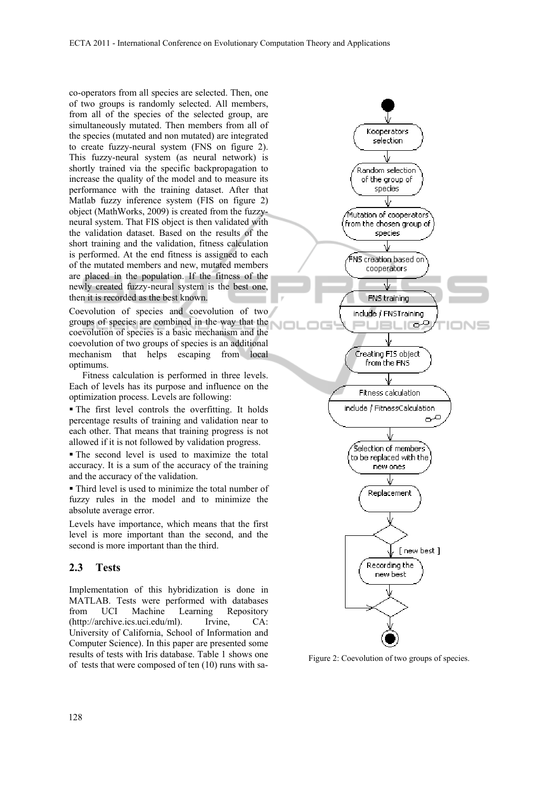co-operators from all species are selected. Then, one of two groups is randomly selected. All members, from all of the species of the selected group, are simultaneously mutated. Then members from all of the species (mutated and non mutated) are integrated to create fuzzy-neural system (FNS on figure 2). This fuzzy-neural system (as neural network) is shortly trained via the specific backpropagation to increase the quality of the model and to measure its performance with the training dataset. After that Matlab fuzzy inference system (FIS on figure 2) object (MathWorks, 2009) is created from the fuzzyneural system. That FIS object is then validated with the validation dataset. Based on the results of the short training and the validation, fitness calculation is performed. At the end fitness is assigned to each of the mutated members and new, mutated members are placed in the population. If the fitness of the newly created fuzzy-neural system is the best one, then it is recorded as the best known.

Coevolution of species and coevolution of two groups of species are combined in the way that the coevolution of species is a basic mechanism and the coevolution of two groups of species is an additional mechanism that helps escaping from local optimums.

Fitness calculation is performed in three levels. Each of levels has its purpose and influence on the optimization process. Levels are following:

 The first level controls the overfitting. It holds percentage results of training and validation near to each other. That means that training progress is not allowed if it is not followed by validation progress.

 The second level is used to maximize the total accuracy. It is a sum of the accuracy of the training and the accuracy of the validation.

 Third level is used to minimize the total number of fuzzy rules in the model and to minimize the absolute average error.

Levels have importance, which means that the first level is more important than the second, and the second is more important than the third.

#### **2.3 Tests**

Implementation of this hybridization is done in MATLAB. Tests were performed with databases from UCI Machine Learning Repository (http://archive.ics.uci.edu/ml). Irvine, CA: University of California, School of Information and Computer Science). In this paper are presented some results of tests with Iris database. Table 1 shows one results of tests with Iris database. Table 1 shows one<br>of tests that were composed of ten (10) runs with sa-

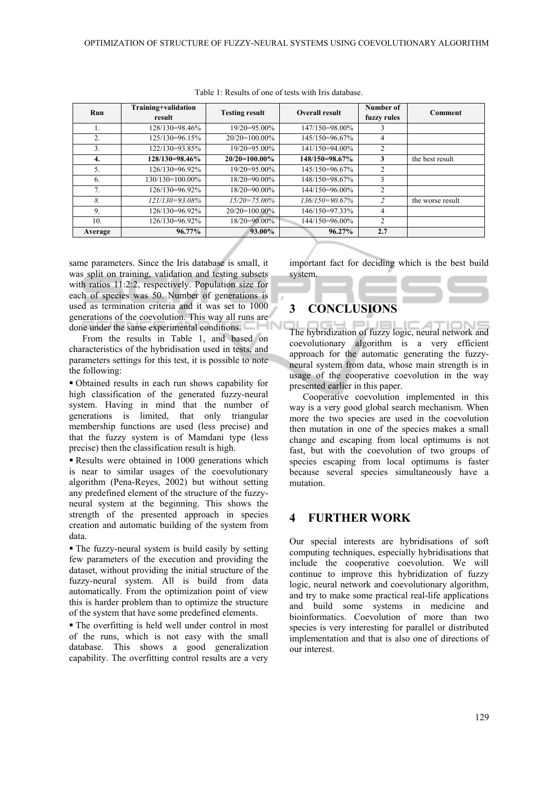| Run             | Training+validation<br>result | <b>Testing result</b> | <b>Overall result</b> | Number of<br>fuzzy rules  | <b>Comment</b>   |
|-----------------|-------------------------------|-----------------------|-----------------------|---------------------------|------------------|
|                 | 128/130=98.46%                | 19/20=95.00%          | 147/150=98.00%        | 3                         |                  |
| 2.              | 125/130=96.15%                | $20/20=100.00\%$      | 145/150=96.67%        | 4                         |                  |
| 3.              | 122/130=93.85%                | $19/20=95.00\%$       | 141/150=94.00%        | 2                         |                  |
| 4.              | 128/130=98.46%                | $20/20=100.00\%$      | 148/150=98.67%        | 3                         | the best result  |
| 5.              | 126/130=96.92%                | $19/20=95.00\%$       | 145/150=96.67%        | $\mathfrak{D}$            |                  |
| 6.              | $130/130=100.00\%$            | $18/20=90.00\%$       | 148/150=98.67%        | 3                         |                  |
| 7 <sub>1</sub>  | 126/130=96.92%                | $18/20=90.00\%$       | 144/150=96.00%        | 2                         |                  |
| 8.              | $121/130 = 93.08\%$           | $15/20 = 75.00\%$     | $136/150=90.67\%$     | $\overline{\mathfrak{Z}}$ | the worse result |
| 9.              | 126/130=96.92%                | $20/20=100.00\%$      | 146/150=97.33%        | 4                         |                  |
| 10 <sub>1</sub> | 126/130=96.92%                | $18/20=90.00\%$       | 144/150=96.00%        | 2                         |                  |
| Average         | $96.77\%$                     | 93.00%                | 96.27%                | 2.7                       |                  |

Table 1: Results of one of tests with Iris database.

same parameters. Since the Iris database is small, it was split on training, validation and testing subsets with ratios 11:2:2, respectively. Population size for each of species was 50. Number of generations is used as termination criteria and it was set to 1000 generations of the coevolution. This way all runs are done under the same experimental conditions.

From the results in Table 1, and based on characteristics of the hybridisation used in tests, and parameters settings for this test, it is possible to note the following:

 Obtained results in each run shows capability for high classification of the generated fuzzy-neural system. Having in mind that the number of generations is limited, that only triangular membership functions are used (less precise) and that the fuzzy system is of Mamdani type (less precise) then the classification result is high.

Results were obtained in 1000 generations which is near to similar usages of the coevolutionary algorithm (Pena-Reyes, 2002) but without setting any predefined element of the structure of the fuzzyneural system at the beginning. This shows the strength of the presented approach in species creation and automatic building of the system from data.

• The fuzzy-neural system is build easily by setting few parameters of the execution and providing the dataset, without providing the initial structure of the fuzzy-neural system. All is build from data automatically. From the optimization point of view this is harder problem than to optimize the structure of the system that have some predefined elements.

 The overfitting is held well under control in most of the runs, which is not easy with the small database. This shows a good generalization capability. The overfitting control results are a very

important fact for deciding which is the best build system.

# **3 CONCLUSIONS**

The hybridization of fuzzy logic, neural network and coevolutionary algorithm is a very efficient approach for the automatic generating the fuzzyneural system from data, whose main strength is in usage of the cooperative coevolution in the way presented earlier in this paper.

Cooperative coevolution implemented in this way is a very good global search mechanism. When more the two species are used in the coevolution then mutation in one of the species makes a small change and escaping from local optimums is not fast, but with the coevolution of two groups of species escaping from local optimums is faster because several species simultaneously have a mutation.

# **4 FURTHER WORK**

Our special interests are hybridisations of soft computing techniques, especially hybridisations that include the cooperative coevolution. We will continue to improve this hybridization of fuzzy logic, neural network and coevolutionary algorithm, and try to make some practical real-life applications and build some systems in medicine and bioinformatics. Coevolution of more than two species is very interesting for parallel or distributed implementation and that is also one of directions of our interest.